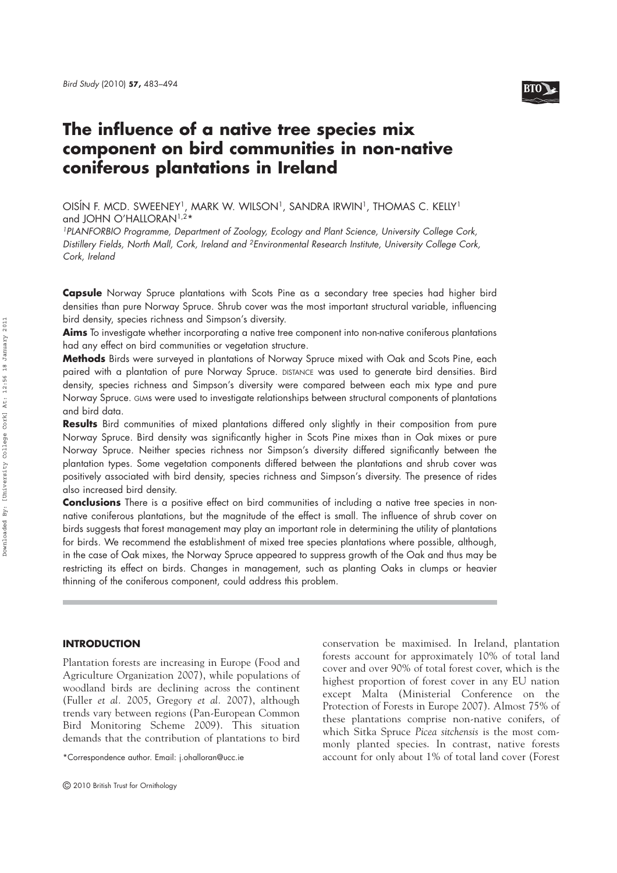

# **The influence of a native tree species mix component on bird communities in non-native coniferous plantations in Ireland**

OISÍN F. MCD. SWEENEY<sup>1</sup>, MARK W. WILSON<sup>1</sup>, SANDRA IRWIN<sup>1</sup>, THOMAS C. KELLY<sup>1</sup> and JOHN O'HALLORAN<sup>1,2\*</sup>

<sup>1</sup>PLANFORBIO Programme, Department of Zoology, Ecology and Plant Science, University College Cork, Distillery Fields, North Mall, Cork, Ireland and <sup>2</sup>Environmental Research Institute, University College Cork, Cork, Ireland

**Capsule** Norway Spruce plantations with Scots Pine as a secondary tree species had higher bird densities than pure Norway Spruce. Shrub cover was the most important structural variable, influencing bird density, species richness and Simpson's diversity.

Aims To investigate whether incorporating a native tree component into non-native coniferous plantations had any effect on bird communities or vegetation structure.

**Methods** Birds were surveyed in plantations of Norway Spruce mixed with Oak and Scots Pine, each paired with a plantation of pure Norway Spruce. DISTANCE was used to generate bird densities. Bird density, species richness and Simpson's diversity were compared between each mix type and pure Norway Spruce. GLMs were used to investigate relationships between structural components of plantations and bird data.

**Results** Bird communities of mixed plantations differed only slightly in their composition from pure Norway Spruce. Bird density was significantly higher in Scots Pine mixes than in Oak mixes or pure Norway Spruce. Neither species richness nor Simpson's diversity differed significantly between the plantation types. Some vegetation components differed between the plantations and shrub cover was positively associated with bird density, species richness and Simpson's diversity. The presence of rides also increased bird density.

**Conclusions** There is a positive effect on bird communities of including a native tree species in nonnative coniferous plantations, but the magnitude of the effect is small. The influence of shrub cover on birds suggests that forest management may play an important role in determining the utility of plantations for birds. We recommend the establishment of mixed tree species plantations where possible, although, in the case of Oak mixes, the Norway Spruce appeared to suppress growth of the Oak and thus may be restricting its effect on birds. Changes in management, such as planting Oaks in clumps or heavier thinning of the coniferous component, could address this problem.

# **INTRODUCTION**

Plantation forests are increasing in Europe (Food and Agriculture Organization 2007), while populations of woodland birds are declining across the continent (Fuller *et al.* 2005, Gregory *et al.* 2007), although trends vary between regions (Pan-European Common Bird Monitoring Scheme 2009). This situation demands that the contribution of plantations to bird

conservation be maximised. In Ireland, plantation forests account for approximately 10% of total land cover and over 90% of total forest cover, which is the highest proportion of forest cover in any EU nation except Malta (Ministerial Conference on the Protection of Forests in Europe 2007). Almost 75% of these plantations comprise non-native conifers, of which Sitka Spruce *Picea sitchensis* is the most commonly planted species. In contrast, native forests \*Correspondence author. Email: j.ohalloran@ucc.ie account for only about 1% of total land cover (Forest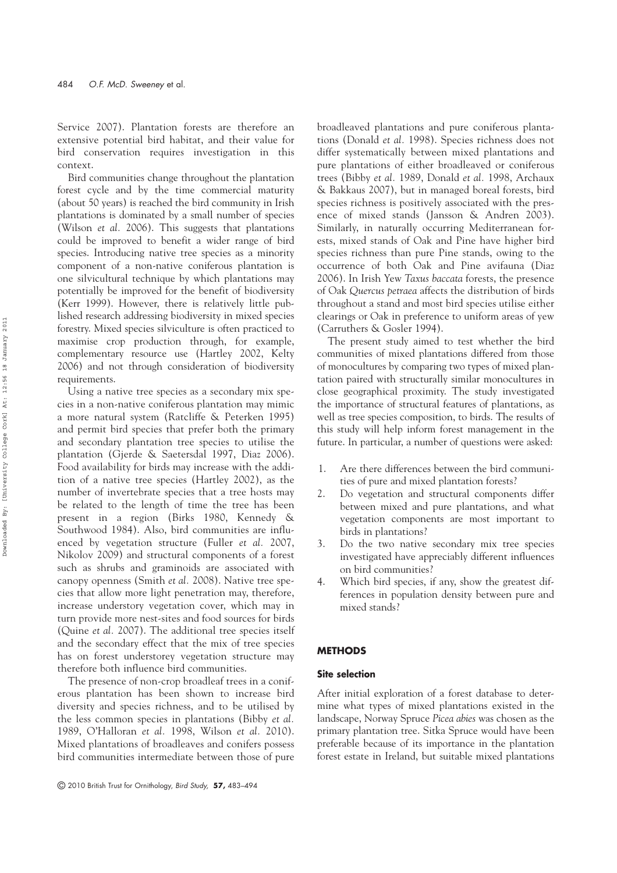Service 2007). Plantation forests are therefore an extensive potential bird habitat, and their value for bird conservation requires investigation in this context.

Bird communities change throughout the plantation forest cycle and by the time commercial maturity (about 50 years) is reached the bird community in Irish plantations is dominated by a small number of species (Wilson *et al.* 2006). This suggests that plantations could be improved to benefit a wider range of bird species. Introducing native tree species as a minority component of a non-native coniferous plantation is one silvicultural technique by which plantations may potentially be improved for the benefit of biodiversity (Kerr 1999). However, there is relatively little published research addressing biodiversity in mixed species forestry. Mixed species silviculture is often practiced to maximise crop production through, for example, complementary resource use (Hartley 2002, Kelty 2006) and not through consideration of biodiversity requirements.

Using a native tree species as a secondary mix species in a non-native coniferous plantation may mimic a more natural system (Ratcliffe & Peterken 1995) and permit bird species that prefer both the primary and secondary plantation tree species to utilise the plantation (Gjerde & Saetersdal 1997, Diaz 2006). Food availability for birds may increase with the addition of a native tree species (Hartley 2002), as the number of invertebrate species that a tree hosts may be related to the length of time the tree has been present in a region (Birks 1980, Kennedy & Southwood 1984). Also, bird communities are influenced by vegetation structure (Fuller *et al.* 2007, Nikolov 2009) and structural components of a forest such as shrubs and graminoids are associated with canopy openness (Smith *et al.* 2008). Native tree species that allow more light penetration may, therefore, increase understory vegetation cover, which may in turn provide more nest-sites and food sources for birds (Quine *et al.* 2007). The additional tree species itself and the secondary effect that the mix of tree species has on forest understorey vegetation structure may therefore both influence bird communities.

The presence of non-crop broadleaf trees in a coniferous plantation has been shown to increase bird diversity and species richness, and to be utilised by the less common species in plantations (Bibby *et al.* 1989, O'Halloran *et al.* 1998, Wilson *et al.* 2010). Mixed plantations of broadleaves and conifers possess bird communities intermediate between those of pure broadleaved plantations and pure coniferous plantations (Donald *et al.* 1998). Species richness does not differ systematically between mixed plantations and pure plantations of either broadleaved or coniferous trees (Bibby *et al.* 1989, Donald *et al.* 1998, Archaux & Bakkaus 2007), but in managed boreal forests, bird species richness is positively associated with the presence of mixed stands (Jansson & Andren 2003). Similarly, in naturally occurring Mediterranean forests, mixed stands of Oak and Pine have higher bird species richness than pure Pine stands, owing to the occurrence of both Oak and Pine avifauna (Diaz 2006). In Irish Yew *Taxus baccata* forests, the presence of Oak *Quercus petraea* affects the distribution of birds throughout a stand and most bird species utilise either clearings or Oak in preference to uniform areas of yew (Carruthers & Gosler 1994).

The present study aimed to test whether the bird communities of mixed plantations differed from those of monocultures by comparing two types of mixed plantation paired with structurally similar monocultures in close geographical proximity. The study investigated the importance of structural features of plantations, as well as tree species composition, to birds. The results of this study will help inform forest management in the future. In particular, a number of questions were asked:

- 1. Are there differences between the bird communities of pure and mixed plantation forests?
- 2. Do vegetation and structural components differ between mixed and pure plantations, and what vegetation components are most important to birds in plantations?
- 3. Do the two native secondary mix tree species investigated have appreciably different influences on bird communities?
- 4. Which bird species, if any, show the greatest differences in population density between pure and mixed stands?

## **METHODS**

#### **Site selection**

After initial exploration of a forest database to determine what types of mixed plantations existed in the landscape, Norway Spruce *Picea abies* was chosen as the primary plantation tree. Sitka Spruce would have been preferable because of its importance in the plantation forest estate in Ireland, but suitable mixed plantations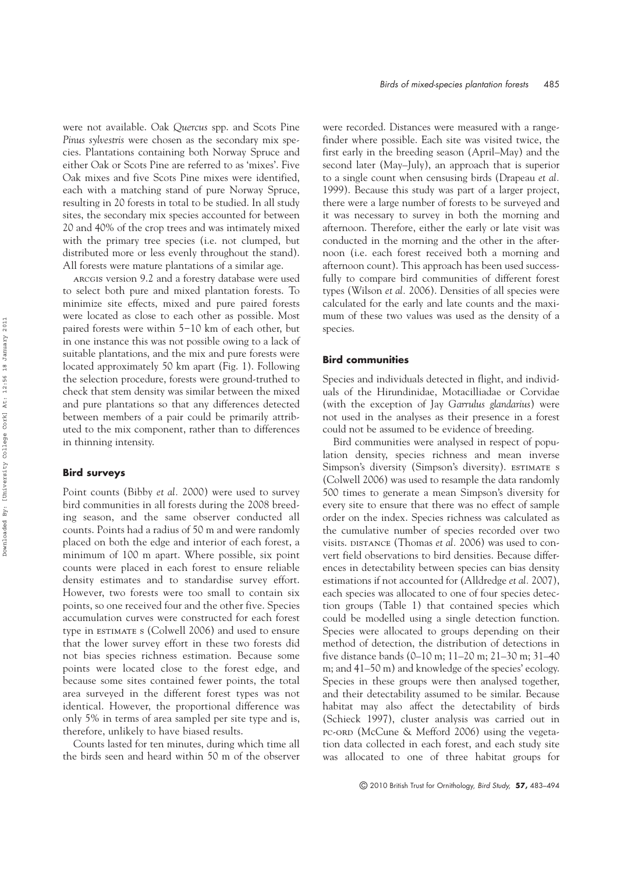were not available. Oak *Quercus* spp. and Scots Pine *Pinus sylvestris* were chosen as the secondary mix species. Plantations containing both Norway Spruce and either Oak or Scots Pine are referred to as 'mixes'. Five Oak mixes and five Scots Pine mixes were identified, each with a matching stand of pure Norway Spruce, resulting in 20 forests in total to be studied. In all study sites, the secondary mix species accounted for between 20 and 40% of the crop trees and was intimately mixed with the primary tree species (i.e. not clumped, but distributed more or less evenly throughout the stand). All forests were mature plantations of a similar age.

 arcgis version 9.2 and a forestry database were used to select both pure and mixed plantation forests. To minimize site effects, mixed and pure paired forests were located as close to each other as possible. Most paired forests were within 5−10 km of each other, but in one instance this was not possible owing to a lack of suitable plantations, and the mix and pure forests were located approximately 50 km apart (Fig. 1). Following the selection procedure, forests were ground-truthed to check that stem density was similar between the mixed and pure plantations so that any differences detected between members of a pair could be primarily attributed to the mix component, rather than to differences in thinning intensity.

# **Bird surveys**

Point counts (Bibby *et al.* 2000) were used to survey bird communities in all forests during the 2008 breeding season, and the same observer conducted all counts. Points had a radius of 50 m and were randomly placed on both the edge and interior of each forest, a minimum of 100 m apart. Where possible, six point counts were placed in each forest to ensure reliable density estimates and to standardise survey effort. However, two forests were too small to contain six points, so one received four and the other five. Species accumulation curves were constructed for each forest type in estimate s (Colwell 2006) and used to ensure that the lower survey effort in these two forests did not bias species richness estimation. Because some points were located close to the forest edge, and because some sites contained fewer points, the total area surveyed in the different forest types was not identical. However, the proportional difference was only 5% in terms of area sampled per site type and is, therefore, unlikely to have biased results.

Counts lasted for ten minutes, during which time all the birds seen and heard within 50 m of the observer

were recorded. Distances were measured with a rangefinder where possible. Each site was visited twice, the first early in the breeding season (April–May) and the second later (May–July), an approach that is superior to a single count when censusing birds (Drapeau *et al.* 1999). Because this study was part of a larger project, there were a large number of forests to be surveyed and it was necessary to survey in both the morning and afternoon. Therefore, either the early or late visit was conducted in the morning and the other in the afternoon (i.e. each forest received both a morning and afternoon count). This approach has been used successfully to compare bird communities of different forest types (Wilson *et al.* 2006). Densities of all species were calculated for the early and late counts and the maximum of these two values was used as the density of a species.

#### **Bird communities**

Species and individuals detected in flight, and individuals of the Hirundinidae, Motacilliadae or Corvidae (with the exception of Jay *Garrulus glandarius*) were not used in the analyses as their presence in a forest could not be assumed to be evidence of breeding.

Bird communities were analysed in respect of population density, species richness and mean inverse Simpson's diversity (Simpson's diversity). ESTIMATE S (Colwell 2006) was used to resample the data randomly 500 times to generate a mean Simpson's diversity for every site to ensure that there was no effect of sample order on the index. Species richness was calculated as the cumulative number of species recorded over two visits. DISTANCE (Thomas *et al.* 2006) was used to convert field observations to bird densities. Because differences in detectability between species can bias density estimations if not accounted for (Alldredge *et al.* 2007), each species was allocated to one of four species detection groups (Table 1) that contained species which could be modelled using a single detection function. Species were allocated to groups depending on their method of detection, the distribution of detections in five distance bands (0–10 m; 11–20 m; 21–30 m; 31–40 m; and 41–50 m) and knowledge of the species' ecology. Species in these groups were then analysed together, and their detectability assumed to be similar. Because habitat may also affect the detectability of birds (Schieck 1997), cluster analysis was carried out in pc-ord (McCune & Mefford 2006) using the vegetation data collected in each forest, and each study site was allocated to one of three habitat groups for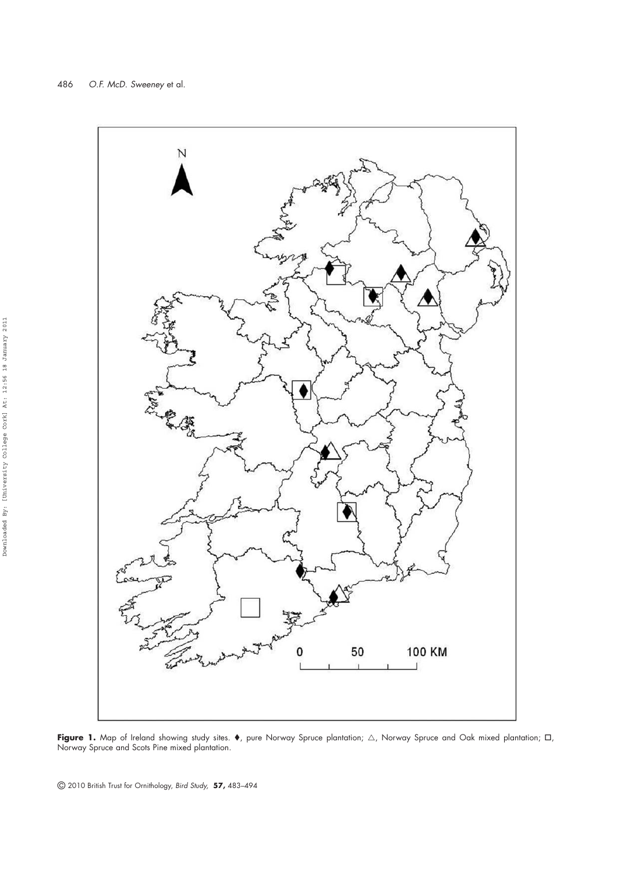

Figure 1. Map of Ireland showing study sites. ♦, pure Norway Spruce plantation;  $\triangle$ , Norway Spruce and Oak mixed plantation;  $\Box$ , Norway Spruce and Scots Pine mixed plantation.

© 2010 British Trust for Ornithology, Bird Study, **57,** 483–494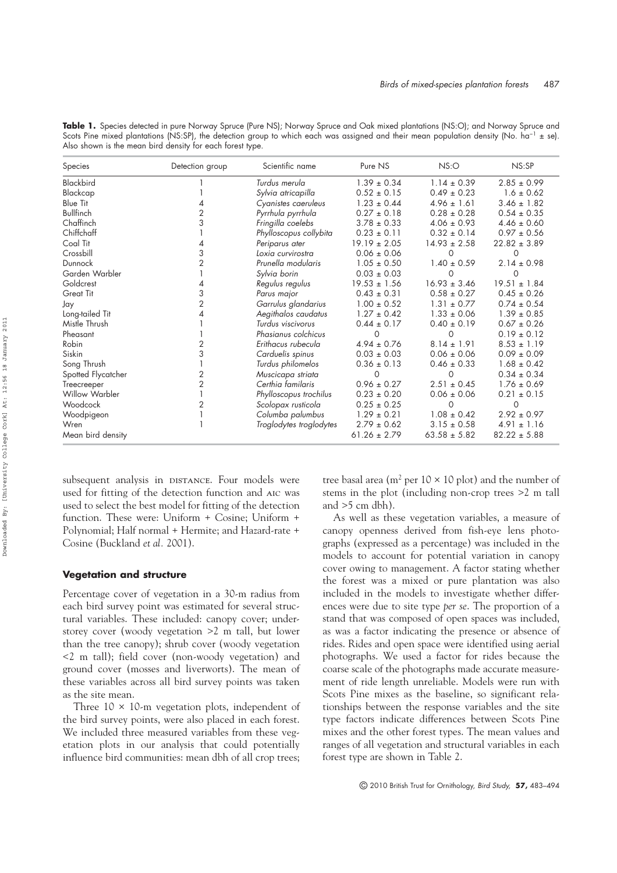**Table 1.** Species detected in pure Norway Spruce (Pure NS); Norway Spruce and Oak mixed plantations (NS:O); and Norway Spruce and Scots Pine mixed plantations (NS:SP), the detection group to which each was assigned and their mean population density (No. ha<sup>-1</sup> ± se). Also shown is the mean bird density for each forest type.

| Species               | Detection group | Scientific name         | Pure NS          | NS:O             | NS:SP            |  |
|-----------------------|-----------------|-------------------------|------------------|------------------|------------------|--|
| Blackbird             |                 | Turdus merula           | $1.39 \pm 0.34$  | $1.14 \pm 0.39$  | $2.85 \pm 0.99$  |  |
| Blackcap              |                 | Sylvia atricapilla      | $0.52 \pm 0.15$  | $0.49 \pm 0.23$  | $1.6 \pm 0.62$   |  |
| Blue Tit              | 4               | Cyanistes caeruleus     | $1.23 \pm 0.44$  | $4.96 \pm 1.61$  | $3.46 \pm 1.82$  |  |
| <b>Bullfinch</b>      | $\overline{2}$  | Pyrrhula pyrrhula       | $0.27 \pm 0.18$  | $0.28 \pm 0.28$  | $0.54 \pm 0.35$  |  |
| Chaffinch             | 3               | Fringilla coelebs       | $3.78 \pm 0.33$  | $4.06 \pm 0.93$  | $4.46 \pm 0.60$  |  |
| Chiffchaff            |                 | Phylloscopus collybita  | $0.23 \pm 0.11$  | $0.32 \pm 0.14$  | $0.97 \pm 0.56$  |  |
| Coal Tit              | 4               | Periparus ater          | $19.19 \pm 2.05$ | $14.93 \pm 2.58$ | $22.82 \pm 3.89$ |  |
| Crossbill             | 3               | Loxia curvirostra       | $0.06 \pm 0.06$  | $\Omega$         | $\Omega$         |  |
| Dunnock               | $\overline{2}$  | Prunella modularis      | $1.05 \pm 0.50$  | $1.40 \pm 0.59$  | $2.14 \pm 0.98$  |  |
| Garden Warbler        |                 | Sylvia borin            | $0.03 \pm 0.03$  | 0                |                  |  |
| Goldcrest             |                 | Regulus regulus         | $19.53 \pm 1.56$ | $16.93 \pm 3.46$ | $19.51 \pm 1.84$ |  |
| Great Tit             | 3               | Parus major             | $0.43 \pm 0.31$  | $0.58 \pm 0.27$  | $0.45 \pm 0.26$  |  |
| Jay                   | 2               | Garrulus glandarius     | $1.00 \pm 0.52$  | $1.31 \pm 0.77$  | $0.74 \pm 0.54$  |  |
| Long-tailed Tit       | 4               | Aegithalos caudatus     | $1.27 \pm 0.42$  | $1.33 \pm 0.06$  | $1.39 \pm 0.85$  |  |
| Mistle Thrush         |                 | Turdus viscivorus       | $0.44 \pm 0.17$  | $0.40 \pm 0.19$  | $0.67 \pm 0.26$  |  |
| Pheasant              |                 | Phasianus colchicus     | 0                | 0                | $0.19 \pm 0.12$  |  |
| Robin                 | 2               | Erithacus rubecula      | $4.94 \pm 0.76$  | $8.14 \pm 1.91$  | $8.53 \pm 1.19$  |  |
| <b>Siskin</b>         | 3               | Carduelis spinus        | $0.03 \pm 0.03$  | $0.06 \pm 0.06$  | $0.09 \pm 0.09$  |  |
| Song Thrush           |                 | Turdus philomelos       | $0.36 \pm 0.13$  | $0.46 \pm 0.33$  | $1.68 \pm 0.42$  |  |
| Spotted Flycatcher    | 2               | Muscicapa striata       | 0                | 0                | $0.34 \pm 0.34$  |  |
| Treecreeper           | 2               | Certhia familaris       | $0.96 \pm 0.27$  | $2.51 \pm 0.45$  | $1.76 \pm 0.69$  |  |
| <b>Willow Warbler</b> |                 | Phylloscopus trochilus  | $0.23 \pm 0.20$  | $0.06 \pm 0.06$  | $0.21 \pm 0.15$  |  |
| Woodcock              | 2               | Scolopax rusticola      | $0.25 \pm 0.25$  | 0                | $\Omega$         |  |
| Woodpigeon            |                 | Columba palumbus        | $1.29 \pm 0.21$  | $1.08 \pm 0.42$  | $2.92 \pm 0.97$  |  |
| Wren                  |                 | Troglodytes troglodytes | $2.79 \pm 0.62$  | $3.15 \pm 0.58$  | $4.91 \pm 1.16$  |  |
| Mean bird density     |                 |                         | $61.26 \pm 2.79$ | $63.58 \pm 5.82$ | $82.22 \pm 5.88$ |  |

subsequent analysis in DISTANCE. Four models were used for fitting of the detection function and aic was used to select the best model for fitting of the detection function. These were: Uniform + Cosine; Uniform + Polynomial; Half normal + Hermite; and Hazard-rate + Cosine (Buckland *et al.* 2001).

#### **Vegetation and structure**

Percentage cover of vegetation in a 30-m radius from each bird survey point was estimated for several structural variables. These included: canopy cover; understorey cover (woody vegetation >2 m tall, but lower than the tree canopy); shrub cover (woody vegetation <2 m tall); field cover (non-woody vegetation) and ground cover (mosses and liverworts). The mean of these variables across all bird survey points was taken as the site mean.

Three  $10 \times 10$ -m vegetation plots, independent of the bird survey points, were also placed in each forest. We included three measured variables from these vegetation plots in our analysis that could potentially influence bird communities: mean dbh of all crop trees;

tree basal area ( $m^2$  per 10  $\times$  10 plot) and the number of stems in the plot (including non-crop trees >2 m tall and  $>5$  cm dbh).

As well as these vegetation variables, a measure of canopy openness derived from fish-eye lens photographs (expressed as a percentage) was included in the models to account for potential variation in canopy cover owing to management. A factor stating whether the forest was a mixed or pure plantation was also included in the models to investigate whether differences were due to site type *per se*. The proportion of a stand that was composed of open spaces was included, as was a factor indicating the presence or absence of rides. Rides and open space were identified using aerial photographs. We used a factor for rides because the coarse scale of the photographs made accurate measurement of ride length unreliable. Models were run with Scots Pine mixes as the baseline, so significant relationships between the response variables and the site type factors indicate differences between Scots Pine mixes and the other forest types. The mean values and ranges of all vegetation and structural variables in each forest type are shown in Table 2.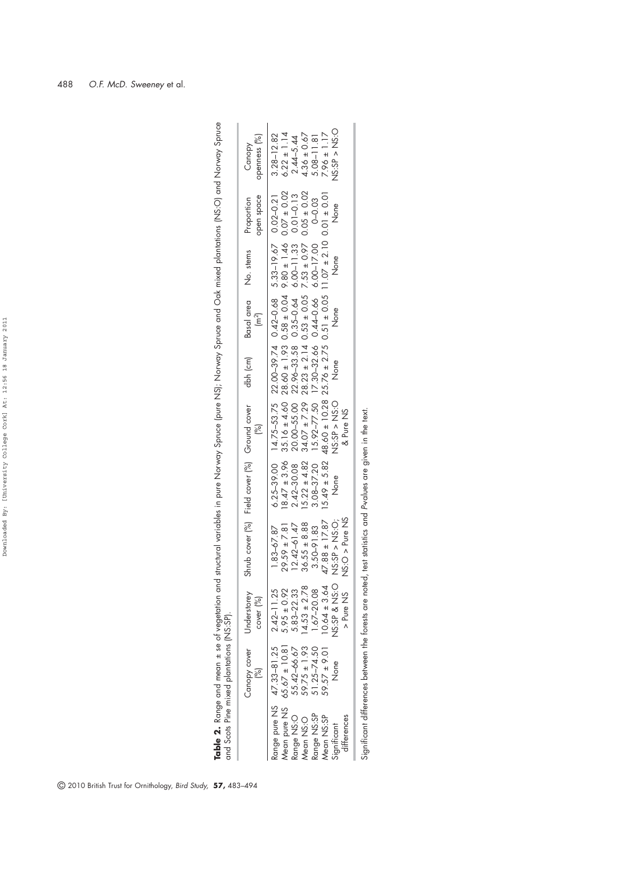|                                                                                                                           | openness (%)<br>Canopy                       | $OS:SP \rightarrow NS:SP$<br>$6.22 \pm 1.14$<br>$4.36 \pm 0.67$<br>$7.96 \pm 1.17$<br>$3.28 - 12.82$<br>$2.44 - 5.44$<br>$5.08 - 11.8$            |  |
|---------------------------------------------------------------------------------------------------------------------------|----------------------------------------------|---------------------------------------------------------------------------------------------------------------------------------------------------|--|
|                                                                                                                           | open space<br>Proportion                     | $0.07 \pm 0.02$<br>$0.05 \pm 0.02$<br>0-0.03<br>$0.01 - 0.13$<br>$0.02 - 0.21$<br>None                                                            |  |
|                                                                                                                           | No. stems                                    | $11.07 \pm 2.10$ 0.0 $\pm$ 0.0<br>$9.80 \pm 1.46$<br>$6.00 - 17.00$<br>$7.53 \pm 0.97$<br>$6.00 - 11.33$<br>$5.33 - 19.67$<br>None                |  |
|                                                                                                                           | <b>Basal</b> area<br>(m <sup>2</sup> )       | $0.53 \pm 0.05$<br>$0.51 \pm 0.05$<br>$0.58 \pm 0.04$<br>$0.44 - 0.66$<br>$0.42 - 0.68$<br>$0.35 - 0.64$<br>None                                  |  |
|                                                                                                                           | dbh (cm)                                     | $28.60 \pm 1.93$ (<br>22.96-33.58<br>$28.23 \pm 2.14$<br>$25.76 \pm 2.75$<br>17.30-32.66<br>22.00-39.74<br>None                                   |  |
|                                                                                                                           | $\infty$                                     | $48.60 \pm 10.28$<br>$15.92 - 77.50$<br>$35.16 \pm 4.60$<br>$34.07 \pm 7.29$<br>NS:SP > NS:O<br>$20.00 - 55.00$<br>14.75-53.75<br>& Pure NS       |  |
|                                                                                                                           |                                              | $18.47 \pm 3.96$<br>$15.22 \pm 4.82$<br>$15.49 \pm 5.82$<br>$6.25 - 39.00$<br>2.42-30.08<br>$3.08 - 37.20$<br>None                                |  |
| nd structural variables in pure Norway Spruce (pure NS); Norway Spruce and Oak mixed plantations (NS:O) and Norway Spruce | Shrub cover [%] Field cover [%] Ground cover | NS:O > Pure NS<br>NS:SP > NSO<br>$47.88 \pm 17.87$<br>$36.55 \pm 8.88$<br>$12.42 - 61.47$<br>$29.59 \pm 7.81$<br>$3.50 - 91.83$<br>$1.83 - 67.87$ |  |
|                                                                                                                           | Understorey<br>cover [%]                     | O.S.SP & NS:D<br>$14.53 \pm 2.78$<br>1.67-20.08<br>$10.64 \pm 3.64$<br>$5.95 \pm 0.92$<br>$2.42 - 11.25$<br>5.83-22.33<br>> Pure NS               |  |
| Table 2. Range and mean ± se of vegetation ar<br>and Scots Pine mixed plantations (NS:SP                                  | Canopy cover<br>(%)                          | $65.67 \pm 10.81$<br>$59.75 \pm 1.93$<br>$51.25 - 74.50$<br>47.33-81.25<br>55.42-66.67<br>$59.57 \pm 9.0$<br>None                                 |  |
|                                                                                                                           |                                              | Kange pure NS<br>Mean pure NS<br>Range NS:SP<br>differences<br>Mean NS:SP<br>Range NS:O<br>Mean NS:O<br>Significant                               |  |

| the forests are noted, test statistics and <i>F-</i> values are aiven in th |
|-----------------------------------------------------------------------------|
| ï                                                                           |
|                                                                             |
|                                                                             |
|                                                                             |
|                                                                             |
|                                                                             |
|                                                                             |
|                                                                             |
|                                                                             |
|                                                                             |
|                                                                             |
|                                                                             |
|                                                                             |
| $71$ Ween ine ioles.                                                        |
|                                                                             |
|                                                                             |
|                                                                             |
| icont differences between                                                   |
|                                                                             |
|                                                                             |
| š                                                                           |
|                                                                             |
|                                                                             |
| į                                                                           |
| ភ<br>ភ                                                                      |
| i                                                                           |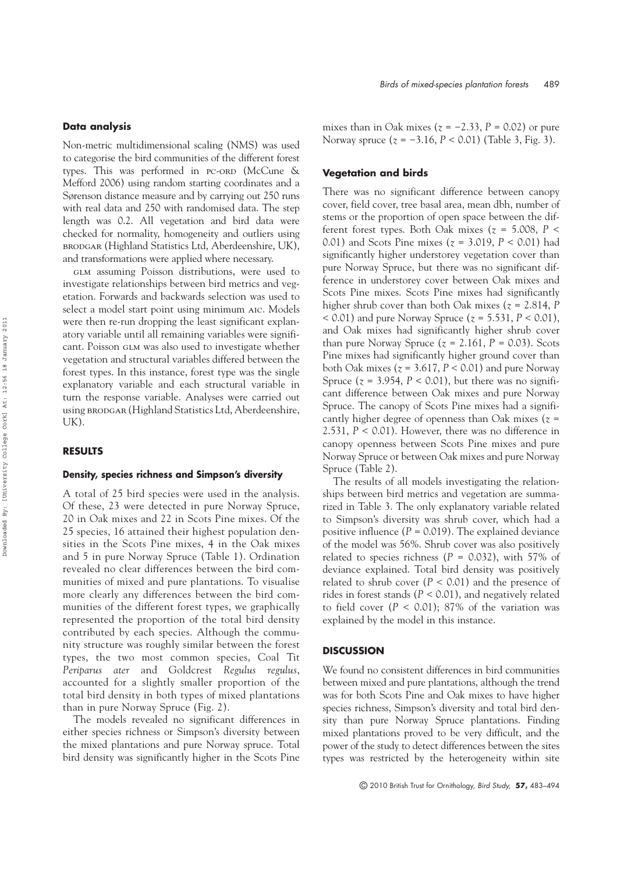Non-metric multidimensional scaling (NMS) was used to categorise the bird communities of the different forest types. This was performed in pc-ord (McCune & Mefford 2006) using random starting coordinates and a Sørenson distance measure and by carrying out 250 runs with real data and 250 with randomised data. The step length was 0.2. All vegetation and bird data were checked for normality, homogeneity and outliers using brodgar (Highland Statistics Ltd, Aberdeenshire, UK), and transformations were applied where necessary.

 glm assuming Poisson distributions, were used to investigate relationships between bird metrics and vegetation. Forwards and backwards selection was used to select a model start point using minimum aic. Models were then re-run dropping the least significant explanatory variable until all remaining variables were significant. Poisson glm was also used to investigate whether vegetation and structural variables differed between the forest types. In this instance, forest type was the single explanatory variable and each structural variable in turn the response variable. Analyses were carried out using brodgar (Highland Statistics Ltd, Aberdeenshire, UK).

## **RESULTS**

#### **Density, species richness and Simpson's diversity**

A total of 25 bird species were used in the analysis. Of these, 23 were detected in pure Norway Spruce, 20 in Oak mixes and 22 in Scots Pine mixes. Of the 25 species, 16 attained their highest population densities in the Scots Pine mixes, 4 in the Oak mixes and 5 in pure Norway Spruce (Table 1). Ordination revealed no clear differences between the bird communities of mixed and pure plantations. To visualise more clearly any differences between the bird communities of the different forest types, we graphically represented the proportion of the total bird density contributed by each species. Although the community structure was roughly similar between the forest types, the two most common species, Coal Tit *Periparus ater* and Goldcrest *Regulus regulus*, accounted for a slightly smaller proportion of the total bird density in both types of mixed plantations than in pure Norway Spruce (Fig. 2).

The models revealed no significant differences in either species richness or Simpson's diversity between the mixed plantations and pure Norway spruce. Total bird density was significantly higher in the Scots Pine mixes than in Oak mixes ( $\zeta = -2.33$ ,  $P = 0.02$ ) or pure Norway spruce  $(z = -3.16, P < 0.01)$  (Table 3, Fig. 3).

# **Vegetation and birds**

There was no significant difference between canopy cover, field cover, tree basal area, mean dbh, number of stems or the proportion of open space between the different forest types. Both Oak mixes  $(z = 5.008, P <$ 0.01) and Scots Pine mixes ( *z* = 3.019, *P* < 0.01) had significantly higher understorey vegetation cover than pure Norway Spruce, but there was no significant difference in understorey cover between Oak mixes and Scots Pine mixes. Scots Pine mixes had significantly higher shrub cover than both Oak mixes  $(z = 2.814, P$  $(0.01)$  and pure Norway Spruce ( $\zeta = 5.531$ ,  $P < 0.01$ ), and Oak mixes had significantly higher shrub cover than pure Norway Spruce  $(z = 2.161, P = 0.03)$ . Scots Pine mixes had significantly higher ground cover than both Oak mixes ( $z = 3.617$ ,  $P < 0.01$ ) and pure Norway Spruce  $(z = 3.954, P < 0.01)$ , but there was no significant difference between Oak mixes and pure Norway Spruce. The canopy of Scots Pine mixes had a significantly higher degree of openness than Oak mixes  $(z =$ 2.531,  $P < 0.01$ ). However, there was no difference in canopy openness between Scots Pine mixes and pure Norway Spruce or between Oak mixes and pure Norway Spruce (Table 2).

The results of all models investigating the relationships between bird metrics and vegetation are summarized in Table 3. The only explanatory variable related to Simpson's diversity was shrub cover, which had a positive influence  $(P = 0.019)$ . The explained deviance of the model was 56%. Shrub cover was also positively related to species richness ( $P = 0.032$ ), with 57% of deviance explained. Total bird density was positively related to shrub cover  $(P < 0.01)$  and the presence of rides in forest stands ( $P < 0.01$ ), and negatively related to field cover  $(P < 0.01)$ ; 87% of the variation was explained by the model in this instance.

# **DISCUSSION**

We found no consistent differences in bird communities between mixed and pure plantations, although the trend was for both Scots Pine and Oak mixes to have higher species richness, Simpson's diversity and total bird density than pure Norway Spruce plantations. Finding mixed plantations proved to be very difficult, and the power of the study to detect differences between the sites types was restricted by the heterogeneity within site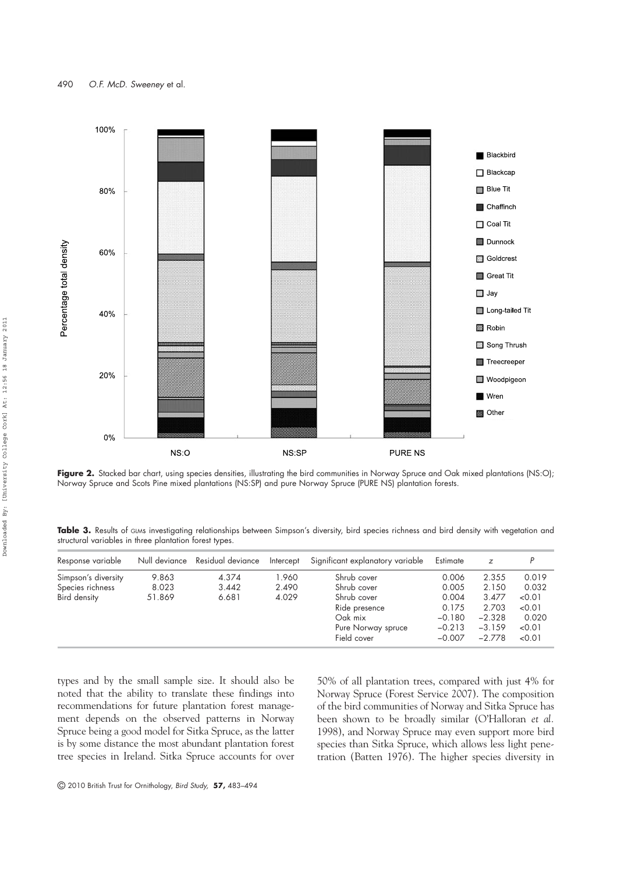

Figure 2. Stacked bar chart, using species densities, illustrating the bird communities in Norway Spruce and Oak mixed plantations (NS:O); Norway Spruce and Scots Pine mixed plantations (NS:SP) and pure Norway Spruce (PURE NS) plantation forests.

Table 3. Results of GLMs investigating relationships between Simpson's diversity, bird species richness and bird density with vegetation and structural variables in three plantation forest types.

| Response variable                                       |                          | Null deviance Residual deviance | Intercept               | Significant explanatory variable                              | Estimate                                  | z                                         |                                     |
|---------------------------------------------------------|--------------------------|---------------------------------|-------------------------|---------------------------------------------------------------|-------------------------------------------|-------------------------------------------|-------------------------------------|
| Simpson's diversity<br>Species richness<br>Bird density | 9.863<br>8.023<br>51.869 | 4.374<br>3.442<br>6.681         | 1.960<br>2.490<br>4.029 | Shrub cover<br>Shrub cover<br>Shrub cover                     | 0.006<br>0.005<br>0.004                   | 2.355<br>2.150<br>3.477                   | 0.019<br>0.032<br>< 0.01            |
|                                                         |                          |                                 |                         | Ride presence<br>Oak mix<br>Pure Norway spruce<br>Field cover | 0.175<br>$-0.180$<br>$-0.213$<br>$-0.007$ | 2.703<br>$-2.328$<br>$-3.159$<br>$-2.778$ | < 0.01<br>0.020<br>< 0.01<br>< 0.01 |

types and by the small sample size. It should also be noted that the ability to translate these findings into recommendations for future plantation forest management depends on the observed patterns in Norway Spruce being a good model for Sitka Spruce, as the latter is by some distance the most abundant plantation forest tree species in Ireland. Sitka Spruce accounts for over 50% of all plantation trees, compared with just 4% for Norway Spruce (Forest Service 2007). The composition of the bird communities of Norway and Sitka Spruce has been shown to be broadly similar (O'Halloran *et al.* 1998), and Norway Spruce may even support more bird species than Sitka Spruce, which allows less light penetration (Batten 1976). The higher species diversity in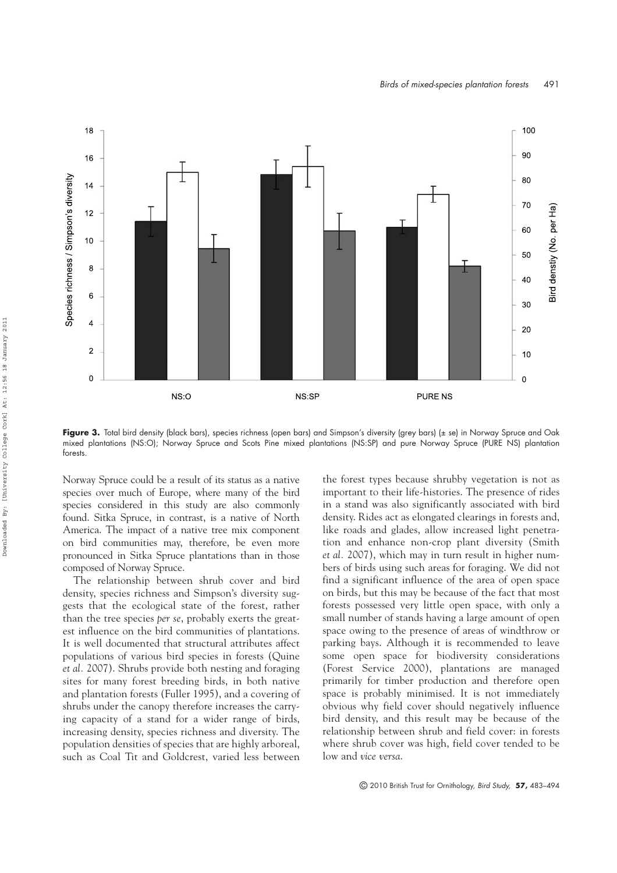

**Figure 3.** Total bird density (black bars), species richness (open bars) and Simpson's diversity (grey bars) (± se) in Norway Spruce and Oak mixed plantations (NS:O); Norway Spruce and Scots Pine mixed plantations (NS:SP) and pure Norway Spruce (PURE NS) plantation forests.

Norway Spruce could be a result of its status as a native species over much of Europe, where many of the bird species considered in this study are also commonly found. Sitka Spruce, in contrast, is a native of North America. The impact of a native tree mix component on bird communities may, therefore, be even more pronounced in Sitka Spruce plantations than in those composed of Norway Spruce.

The relationship between shrub cover and bird density, species richness and Simpson's diversity suggests that the ecological state of the forest, rather than the tree species *per se*, probably exerts the greatest influence on the bird communities of plantations. It is well documented that structural attributes affect populations of various bird species in forests (Quine *et al.* 2007). Shrubs provide both nesting and foraging sites for many forest breeding birds, in both native and plantation forests (Fuller 1995), and a covering of shrubs under the canopy therefore increases the carrying capacity of a stand for a wider range of birds, increasing density, species richness and diversity. The population densities of species that are highly arboreal, such as Coal Tit and Goldcrest, varied less between

the forest types because shrubby vegetation is not as important to their life-histories. The presence of rides in a stand was also significantly associated with bird density. Rides act as elongated clearings in forests and, like roads and glades, allow increased light penetration and enhance non-crop plant diversity (Smith *et al.* 2007), which may in turn result in higher numbers of birds using such areas for foraging. We did not find a significant influence of the area of open space on birds, but this may be because of the fact that most forests possessed very little open space, with only a small number of stands having a large amount of open space owing to the presence of areas of windthrow or parking bays. Although it is recommended to leave some open space for biodiversity considerations (Forest Service 2000), plantations are managed primarily for timber production and therefore open space is probably minimised. It is not immediately obvious why field cover should negatively influence bird density, and this result may be because of the relationship between shrub and field cover: in forests where shrub cover was high, field cover tended to be low and *vice versa*.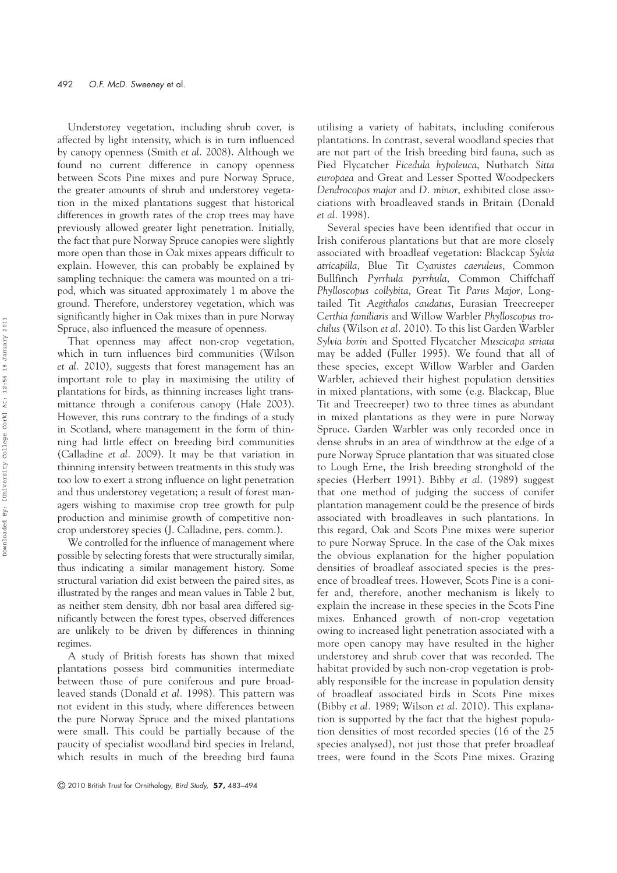Understorey vegetation, including shrub cover, is affected by light intensity, which is in turn influenced by canopy openness (Smith *et al.* 2008). Although we found no current difference in canopy openness between Scots Pine mixes and pure Norway Spruce, the greater amounts of shrub and understorey vegetation in the mixed plantations suggest that historical differences in growth rates of the crop trees may have previously allowed greater light penetration. Initially, the fact that pure Norway Spruce canopies were slightly more open than those in Oak mixes appears difficult to explain. However, this can probably be explained by sampling technique: the camera was mounted on a tripod, which was situated approximately 1 m above the ground. Therefore, understorey vegetation, which was significantly higher in Oak mixes than in pure Norway Spruce, also influenced the measure of openness.

That openness may affect non-crop vegetation, which in turn influences bird communities (Wilson *et al.* 2010), suggests that forest management has an important role to play in maximising the utility of plantations for birds, as thinning increases light transmittance through a coniferous canopy (Hale 2003). However, this runs contrary to the findings of a study in Scotland, where management in the form of thinning had little effect on breeding bird communities (Calladine *et al.* 2009). It may be that variation in thinning intensity between treatments in this study was too low to exert a strong influence on light penetration and thus understorey vegetation; a result of forest managers wishing to maximise crop tree growth for pulp production and minimise growth of competitive noncrop understorey species (J. Calladine, pers. comm.).

We controlled for the influence of management where possible by selecting forests that were structurally similar, thus indicating a similar management history. Some structural variation did exist between the paired sites, as illustrated by the ranges and mean values in Table 2 but, as neither stem density, dbh nor basal area differed significantly between the forest types, observed differences are unlikely to be driven by differences in thinning regimes.

A study of British forests has shown that mixed plantations possess bird communities intermediate between those of pure coniferous and pure broadleaved stands (Donald *et al.* 1998). This pattern was not evident in this study, where differences between the pure Norway Spruce and the mixed plantations were small. This could be partially because of the paucity of specialist woodland bird species in Ireland, which results in much of the breeding bird fauna utilising a variety of habitats, including coniferous plantations. In contrast, several woodland species that are not part of the Irish breeding bird fauna, such as Pied Flycatcher *Ficedula hypoleuca*, Nuthatch *Sitta europaea* and Great and Lesser Spotted Woodpeckers *Dendrocopos major* and *D. minor*, exhibited close associations with broadleaved stands in Britain (Donald *et al.* 1998).

Several species have been identified that occur in Irish coniferous plantations but that are more closely associated with broadleaf vegetation: Blackcap *Sylvia atricapilla*, Blue Tit *Cyanistes caeruleus*, Common Bullfinch *Pyrrhula pyrrhula*, Common Chiffchaff *Phylloscopus collybita*, Great Tit *Parus Major*, Longtailed Tit *Aegithalos caudatus*, Eurasian Treecreeper *Certhia familiaris* and Willow Warbler *Phylloscopus trochilus* (Wilson *et al.* 2010). To this list Garden Warbler *Sylvia borin* and Spotted Flycatcher *Muscicapa striata* may be added (Fuller 1995). We found that all of these species, except Willow Warbler and Garden Warbler, achieved their highest population densities in mixed plantations, with some (e.g. Blackcap, Blue Tit and Treecreeper) two to three times as abundant in mixed plantations as they were in pure Norway Spruce. Garden Warbler was only recorded once in dense shrubs in an area of windthrow at the edge of a pure Norway Spruce plantation that was situated close to Lough Erne, the Irish breeding stronghold of the species (Herbert 1991). Bibby *et al.* (1989) suggest that one method of judging the success of conifer plantation management could be the presence of birds associated with broadleaves in such plantations. In this regard, Oak and Scots Pine mixes were superior to pure Norway Spruce. In the case of the Oak mixes the obvious explanation for the higher population densities of broadleaf associated species is the presence of broadleaf trees. However, Scots Pine is a conifer and, therefore, another mechanism is likely to explain the increase in these species in the Scots Pine mixes. Enhanced growth of non-crop vegetation owing to increased light penetration associated with a more open canopy may have resulted in the higher understorey and shrub cover that was recorded. The habitat provided by such non-crop vegetation is probably responsible for the increase in population density of broadleaf associated birds in Scots Pine mixes (Bibby *et al.* 1989; Wilson *et al.* 2010). This explanation is supported by the fact that the highest population densities of most recorded species (16 of the 25 species analysed), not just those that prefer broadleaf trees, were found in the Scots Pine mixes. Grazing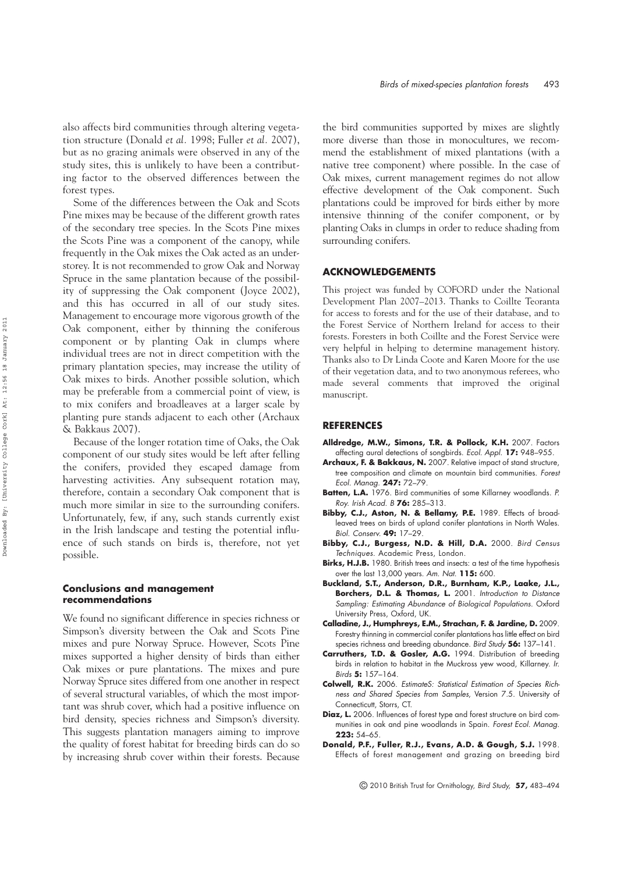also affects bird communities through altering vegetation structure (Donald *et al.* 1998; Fuller *et al.* 2007), but as no grazing animals were observed in any of the study sites, this is unlikely to have been a contributing factor to the observed differences between the forest types.

Some of the differences between the Oak and Scots Pine mixes may be because of the different growth rates of the secondary tree species. In the Scots Pine mixes the Scots Pine was a component of the canopy, while frequently in the Oak mixes the Oak acted as an understorey. It is not recommended to grow Oak and Norway Spruce in the same plantation because of the possibility of suppressing the Oak component (Joyce 2002), and this has occurred in all of our study sites. Management to encourage more vigorous growth of the Oak component, either by thinning the coniferous component or by planting Oak in clumps where individual trees are not in direct competition with the primary plantation species, may increase the utility of Oak mixes to birds. Another possible solution, which may be preferable from a commercial point of view, is to mix conifers and broadleaves at a larger scale by planting pure stands adjacent to each other (Archaux & Bakkaus 2007).

Because of the longer rotation time of Oaks, the Oak component of our study sites would be left after felling the conifers, provided they escaped damage from harvesting activities. Any subsequent rotation may, therefore, contain a secondary Oak component that is much more similar in size to the surrounding conifers. Unfortunately, few, if any, such stands currently exist in the Irish landscape and testing the potential influence of such stands on birds is, therefore, not yet possible.

### **Conclusions and management recommendations**

We found no significant difference in species richness or Simpson's diversity between the Oak and Scots Pine mixes and pure Norway Spruce. However, Scots Pine mixes supported a higher density of birds than either Oak mixes or pure plantations. The mixes and pure Norway Spruce sites differed from one another in respect of several structural variables, of which the most important was shrub cover, which had a positive influence on bird density, species richness and Simpson's diversity. This suggests plantation managers aiming to improve the quality of forest habitat for breeding birds can do so by increasing shrub cover within their forests. Because

the bird communities supported by mixes are slightly more diverse than those in monocultures, we recommend the establishment of mixed plantations (with a native tree component) where possible. In the case of Oak mixes, current management regimes do not allow effective development of the Oak component. Such plantations could be improved for birds either by more intensive thinning of the conifer component, or by planting Oaks in clumps in order to reduce shading from surrounding conifers.

# **ACKNOWLEDGEMENTS**

This project was funded by COFORD under the National Development Plan 2007–2013. Thanks to Coillte Teoranta for access to forests and for the use of their database, and to the Forest Service of Northern Ireland for access to their forests. Foresters in both Coillte and the Forest Service were very helpful in helping to determine management history. Thanks also to Dr Linda Coote and Karen Moore for the use of their vegetation data, and to two anonymous referees, who made several comments that improved the original manuscript.

## **REFERENCES**

- **Alldredge, M.W., Simons, T.R. & Pollock, K.H.** 2007. Factors affecting aural detections of songbirds. Ecol. Appl. **17:** 948–955.
- **Archaux, F. & Bakkaus, N.** 2007. Relative impact of stand structure, tree composition and climate on mountain bird communities. Forest Ecol. Manag. **247:** 72–79.
- Batten, L.A. 1976. Bird communities of some Killarney woodlands. P. Roy. Irish Acad. B **76:** 285–313.
- Bibby, C.J., Aston, N. & Bellamy, P.E. 1989. Effects of broadleaved trees on birds of upland conifer plantations in North Wales. Biol. Conserv. **49:** 17–29.
- **Bibby, C.J., Burgess, N.D. & Hill, D.A.** 2000. Bird Census Techniques. Academic Press, London.
- **Birks, H.J.B.** 1980. British trees and insects: a test of the time hypothesis over the last 13,000 years. Am. Nat. **115:** 600.
- **Buckland, S.T., Anderson, D.R., Burnham, K.P., Laake, J.L., Borchers, D.L. & Thomas, L.** 2001. Introduction to Distance Sampling: Estimating Abundance of Biological Populations. Oxford University Press, Oxford, UK.
- **Calladine, J., Humphreys, E.M., Strachan, F. & Jardine, D.** 2009. Forestry thinning in commercial conifer plantations has little effect on bird species richness and breeding abundance. Bird Study **56:** 137–141.
- **Carruthers, T.D. & Gosler, A.G.** 1994. Distribution of breeding birds in relation to habitat in the Muckross yew wood, Killarney. Ir. Birds **5:** 157–164.
- **Colwell, R.K.** 2006. EstimateS: Statistical Estimation of Species Richness and Shared Species from Samples, Version 7.5. University of Connecticutt, Storrs, CT.
- **Diaz, L.** 2006. Influences of forest type and forest structure on bird communities in oak and pine woodlands in Spain. Forest Ecol. Manag. **223:** 54–65.
- **Donald, P.F., Fuller, R.J., Evans, A.D. & Gough, S.J.** 1998. Effects of forest management and grazing on breeding bird

© 2010 British Trust for Ornithology, Bird Study, **57,** 483–494